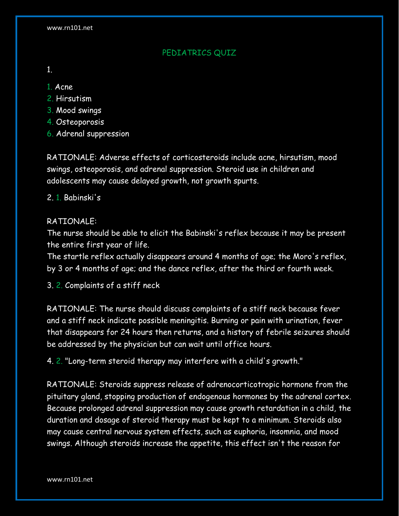## PEDIATRICS QUIZ

- 1.
- 1. Acne
- 2. Hirsutism
- 3. Mood swings
- 4. Osteoporosis
- 6. Adrenal suppression

RATIONALE: Adverse effects of corticosteroids include acne, hirsutism, mood swings, osteoporosis, and adrenal suppression. Steroid use in children and adolescents may cause delayed growth, not growth spurts.

## 2. 1. Babinski's

## RATIONALE:

The nurse should be able to elicit the Babinski's reflex because it may be present the entire first year of life.

The startle reflex actually disappears around 4 months of age; the Moro's reflex, by 3 or 4 months of age; and the dance reflex, after the third or fourth week.

3. 2. Complaints of a stiff neck

RATIONALE: The nurse should discuss complaints of a stiff neck because fever and a stiff neck indicate possible meningitis. Burning or pain with urination, fever that disappears for 24 hours then returns, and a history of febrile seizures should be addressed by the physician but can wait until office hours.

4. 2. "Long-term steroid therapy may interfere with a child's growth."

RATIONALE: Steroids suppress release of adrenocorticotropic hormone from the pituitary gland, stopping production of endogenous hormones by the adrenal cortex. Because prolonged adrenal suppression may cause growth retardation in a child, the duration and dosage of steroid therapy must be kept to a minimum. Steroids also may cause central nervous system effects, such as euphoria, insomnia, and mood swings. Although steroids increase the appetite, this effect isn't the reason for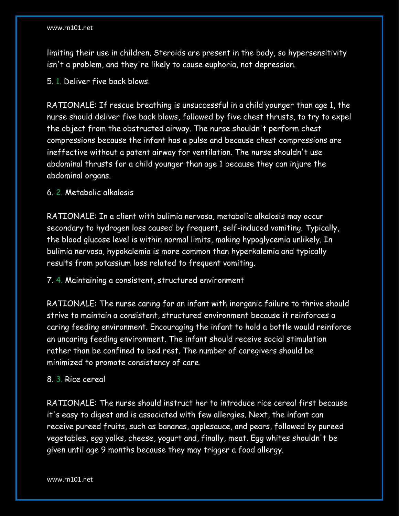limiting their use in children. Steroids are present in the body, so hypersensitivity isn't a problem, and they're likely to cause euphoria, not depression.

5. 1. Deliver five back blows.

RATIONALE: If rescue breathing is unsuccessful in a child younger than age 1, the nurse should deliver five back blows, followed by five chest thrusts, to try to expel the object from the obstructed airway. The nurse shouldn't perform chest compressions because the infant has a pulse and because chest compressions are ineffective without a patent airway for ventilation. The nurse shouldn't use abdominal thrusts for a child younger than age 1 because they can injure the abdominal organs.

6. 2. Metabolic alkalosis

RATIONALE: In a client with bulimia nervosa, metabolic alkalosis may occur secondary to hydrogen loss caused by frequent, self-induced vomiting. Typically, the blood glucose level is within normal limits, making hypoglycemia unlikely. In bulimia nervosa, hypokalemia is more common than hyperkalemia and typically results from potassium loss related to frequent vomiting.

7. 4. Maintaining a consistent, structured environment

RATIONALE: The nurse caring for an infant with inorganic failure to thrive should strive to maintain a consistent, structured environment because it reinforces a caring feeding environment. Encouraging the infant to hold a bottle would reinforce an uncaring feeding environment. The infant should receive social stimulation rather than be confined to bed rest. The number of caregivers should be minimized to promote consistency of care.

## 8. 3. Rice cereal

RATIONALE: The nurse should instruct her to introduce rice cereal first because it's easy to digest and is associated with few allergies. Next, the infant can receive pureed fruits, such as bananas, applesauce, and pears, followed by pureed vegetables, egg yolks, cheese, yogurt and, finally, meat. Egg whites shouldn't be given until age 9 months because they may trigger a food allergy.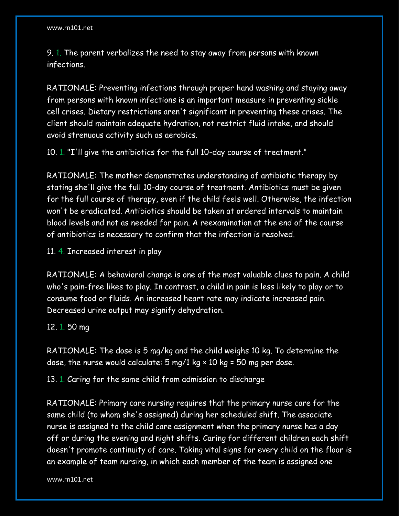9. 1. The parent verbalizes the need to stay away from persons with known infections.

RATIONALE: Preventing infections through proper hand washing and staying away from persons with known infections is an important measure in preventing sickle cell crises. Dietary restrictions aren't significant in preventing these crises. The client should maintain adequate hydration, not restrict fluid intake, and should avoid strenuous activity such as aerobics.

10. 1. "I'll give the antibiotics for the full 10-day course of treatment."

RATIONALE: The mother demonstrates understanding of antibiotic therapy by stating she'll give the full 10-day course of treatment. Antibiotics must be given for the full course of therapy, even if the child feels well. Otherwise, the infection won't be eradicated. Antibiotics should be taken at ordered intervals to maintain blood levels and not as needed for pain. A reexamination at the end of the course of antibiotics is necessary to confirm that the infection is resolved.

11. 4. Increased interest in play

RATIONALE: A behavioral change is one of the most valuable clues to pain. A child who's pain-free likes to play. In contrast, a child in pain is less likely to play or to consume food or fluids. An increased heart rate may indicate increased pain. Decreased urine output may signify dehydration.

12. 1. 50 mg

RATIONALE: The dose is 5 mg/kg and the child weighs 10 kg. To determine the dose, the nurse would calculate:  $5 \text{ mg}/1 \text{ kg} \times 10 \text{ kg} = 50 \text{ mg per dose}$ .

13. 1. Caring for the same child from admission to discharge

RATIONALE: Primary care nursing requires that the primary nurse care for the same child (to whom she's assigned) during her scheduled shift. The associate nurse is assigned to the child care assignment when the primary nurse has a day off or during the evening and night shifts. Caring for different children each shift doesn't promote continuity of care. Taking vital signs for every child on the floor is an example of team nursing, in which each member of the team is assigned one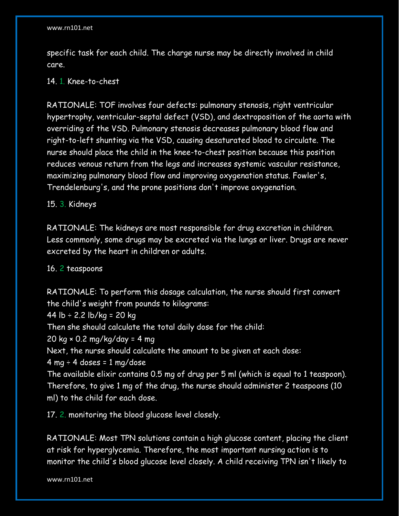specific task for each child. The charge nurse may be directly involved in child care.

#### 14. 1. Knee-to-chest

RATIONALE: TOF involves four defects: pulmonary stenosis, right ventricular hypertrophy, ventricular-septal defect (VSD), and dextroposition of the aorta with overriding of the VSD. Pulmonary stenosis decreases pulmonary blood flow and right-to-left shunting via the VSD, causing desaturated blood to circulate. The nurse should place the child in the knee-to-chest position because this position reduces venous return from the legs and increases systemic vascular resistance, maximizing pulmonary blood flow and improving oxygenation status. Fowler's, Trendelenburg's, and the prone positions don't improve oxygenation.

## 15. 3. Kidneys

RATIONALE: The kidneys are most responsible for drug excretion in children. Less commonly, some drugs may be excreted via the lungs or liver. Drugs are never excreted by the heart in children or adults.

## 16. 2 teaspoons

RATIONALE: To perform this dosage calculation, the nurse should first convert the child's weight from pounds to kilograms:

44  $\text{lb} \div 2.2 \text{ lb/kg} = 20 \text{ kg}$ 

Then she should calculate the total daily dose for the child:

20 kg × 0.2 mg/kg/day = 4 mg

Next, the nurse should calculate the amount to be given at each dose:

 $4$  mg  $\div$  4 doses = 1 mg/dose

The available elixir contains 0.5 mg of drug per 5 ml (which is equal to 1 teaspoon). Therefore, to give 1 mg of the drug, the nurse should administer 2 teaspoons (10 ml) to the child for each dose.

17. 2. monitoring the blood glucose level closely.

RATIONALE: Most TPN solutions contain a high glucose content, placing the client at risk for hyperglycemia. Therefore, the most important nursing action is to monitor the child's blood glucose level closely. A child receiving TPN isn't likely to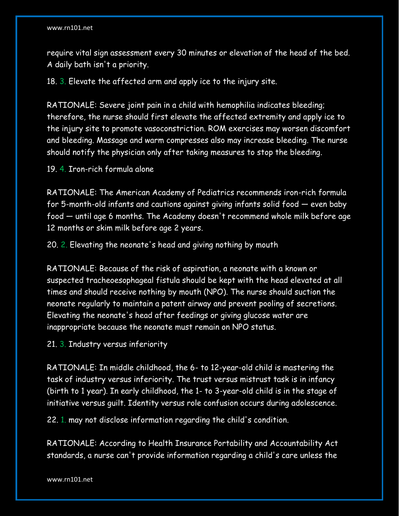require vital sign assessment every 30 minutes or elevation of the head of the bed. A daily bath isn't a priority.

18. 3. Elevate the affected arm and apply ice to the injury site.

RATIONALE: Severe joint pain in a child with hemophilia indicates bleeding; therefore, the nurse should first elevate the affected extremity and apply ice to the injury site to promote vasoconstriction. ROM exercises may worsen discomfort and bleeding. Massage and warm compresses also may increase bleeding. The nurse should notify the physician only after taking measures to stop the bleeding.

19. 4. Iron-rich formula alone

RATIONALE: The American Academy of Pediatrics recommends iron-rich formula for 5-month-old infants and cautions against giving infants solid food — even baby food — until age 6 months. The Academy doesn't recommend whole milk before age 12 months or skim milk before age 2 years.

20. 2. Elevating the neonate's head and giving nothing by mouth

RATIONALE: Because of the risk of aspiration, a neonate with a known or suspected tracheoesophageal fistula should be kept with the head elevated at all times and should receive nothing by mouth (NPO). The nurse should suction the neonate regularly to maintain a patent airway and prevent pooling of secretions. Elevating the neonate's head after feedings or giving glucose water are inappropriate because the neonate must remain on NPO status.

21. 3. Industry versus inferiority

RATIONALE: In middle childhood, the 6- to 12-year-old child is mastering the task of industry versus inferiority. The trust versus mistrust task is in infancy (birth to 1 year). In early childhood, the 1- to 3-year-old child is in the stage of initiative versus guilt. Identity versus role confusion occurs during adolescence.

22. 1. may not disclose information regarding the child's condition.

RATIONALE: According to Health Insurance Portability and Accountability Act standards, a nurse can't provide information regarding a child's care unless the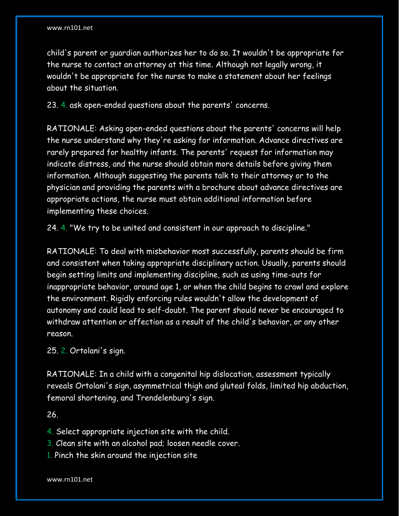child's parent or guardian authorizes her to do so. It wouldn't be appropriate for the nurse to contact an attorney at this time. Although not legally wrong, it wouldn't be appropriate for the nurse to make a statement about her feelings about the situation.

23. 4. ask open-ended questions about the parents' concerns.

RATIONALE: Asking open-ended questions about the parents' concerns will help the nurse understand why they're asking for information. Advance directives are rarely prepared for healthy infants. The parents' request for information may indicate distress, and the nurse should obtain more details before giving them information. Although suggesting the parents talk to their attorney or to the physician and providing the parents with a brochure about advance directives are appropriate actions, the nurse must obtain additional information before implementing these choices.

24. 4. "We try to be united and consistent in our approach to discipline."

RATIONALE: To deal with misbehavior most successfully, parents should be firm and consistent when taking appropriate disciplinary action. Usually, parents should begin setting limits and implementing discipline, such as using time-outs for inappropriate behavior, around age 1, or when the child begins to crawl and explore the environment. Rigidly enforcing rules wouldn't allow the development of autonomy and could lead to self-doubt. The parent should never be encouraged to withdraw attention or affection as a result of the child's behavior, or any other reason.

25. 2. Ortolani's sign.

RATIONALE: In a child with a congenital hip dislocation, assessment typically reveals Ortolani's sign, asymmetrical thigh and gluteal folds, limited hip abduction, femoral shortening, and Trendelenburg's sign.

26.

4. Select appropriate injection site with the child.

3. Clean site with an alcohol pad; loosen needle cover.

1. Pinch the skin around the injection site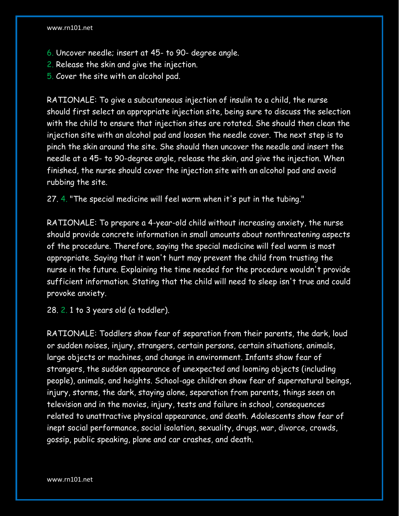- 6. Uncover needle; insert at 45- to 90- degree angle.
- 2. Release the skin and give the injection.
- 5. Cover the site with an alcohol pad.

RATIONALE: To give a subcutaneous injection of insulin to a child, the nurse should first select an appropriate injection site, being sure to discuss the selection with the child to ensure that injection sites are rotated. She should then clean the injection site with an alcohol pad and loosen the needle cover. The next step is to pinch the skin around the site. She should then uncover the needle and insert the needle at a 45- to 90-degree angle, release the skin, and give the injection. When finished, the nurse should cover the injection site with an alcohol pad and avoid rubbing the site.

27. 4. "The special medicine will feel warm when it's put in the tubing."

RATIONALE: To prepare a 4-year-old child without increasing anxiety, the nurse should provide concrete information in small amounts about nonthreatening aspects of the procedure. Therefore, saying the special medicine will feel warm is most appropriate. Saying that it won't hurt may prevent the child from trusting the nurse in the future. Explaining the time needed for the procedure wouldn't provide sufficient information. Stating that the child will need to sleep isn't true and could provoke anxiety.

28. 2. 1 to 3 years old (a toddler).

RATIONALE: Toddlers show fear of separation from their parents, the dark, loud or sudden noises, injury, strangers, certain persons, certain situations, animals, large objects or machines, and change in environment. Infants show fear of strangers, the sudden appearance of unexpected and looming objects (including people), animals, and heights. School-age children show fear of supernatural beings, injury, storms, the dark, staying alone, separation from parents, things seen on television and in the movies, injury, tests and failure in school, consequences related to unattractive physical appearance, and death. Adolescents show fear of inept social performance, social isolation, sexuality, drugs, war, divorce, crowds, gossip, public speaking, plane and car crashes, and death.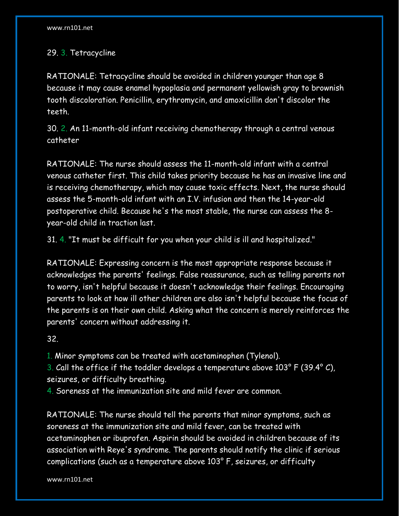# 29. 3. Tetracycline

RATIONALE: Tetracycline should be avoided in children younger than age 8 because it may cause enamel hypoplasia and permanent yellowish gray to brownish tooth discoloration. Penicillin, erythromycin, and amoxicillin don't discolor the teeth.

30. 2. An 11-month-old infant receiving chemotherapy through a central venous catheter

RATIONALE: The nurse should assess the 11-month-old infant with a central venous catheter first. This child takes priority because he has an invasive line and is receiving chemotherapy, which may cause toxic effects. Next, the nurse should assess the 5-month-old infant with an I.V. infusion and then the 14-year-old postoperative child. Because he's the most stable, the nurse can assess the 8 year-old child in traction last.

31. 4. "It must be difficult for you when your child is ill and hospitalized."

RATIONALE: Expressing concern is the most appropriate response because it acknowledges the parents' feelings. False reassurance, such as telling parents not to worry, isn't helpful because it doesn't acknowledge their feelings. Encouraging parents to look at how ill other children are also isn't helpful because the focus of the parents is on their own child. Asking what the concern is merely reinforces the parents' concern without addressing it.

32.

1. Minor symptoms can be treated with acetaminophen (Tylenol).

3. Call the office if the toddler develops a temperature above 103° F (39.4° C), seizures, or difficulty breathing.

4. Soreness at the immunization site and mild fever are common.

RATIONALE: The nurse should tell the parents that minor symptoms, such as soreness at the immunization site and mild fever, can be treated with acetaminophen or ibuprofen. Aspirin should be avoided in children because of its association with Reye's syndrome. The parents should notify the clinic if serious complications (such as a temperature above 103° F, seizures, or difficulty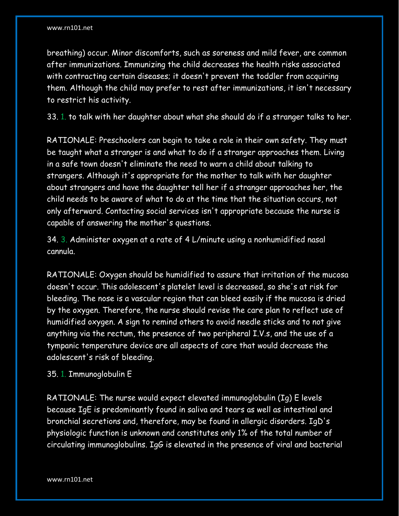breathing) occur. Minor discomforts, such as soreness and mild fever, are common after immunizations. Immunizing the child decreases the health risks associated with contracting certain diseases; it doesn't prevent the toddler from acquiring them. Although the child may prefer to rest after immunizations, it isn't necessary to restrict his activity.

33. 1. to talk with her daughter about what she should do if a stranger talks to her.

RATIONALE: Preschoolers can begin to take a role in their own safety. They must be taught what a stranger is and what to do if a stranger approaches them. Living in a safe town doesn't eliminate the need to warn a child about talking to strangers. Although it's appropriate for the mother to talk with her daughter about strangers and have the daughter tell her if a stranger approaches her, the child needs to be aware of what to do at the time that the situation occurs, not only afterward. Contacting social services isn't appropriate because the nurse is capable of answering the mother's questions.

34. 3. Administer oxygen at a rate of 4 L/minute using a nonhumidified nasal cannula.

RATIONALE: Oxygen should be humidified to assure that irritation of the mucosa doesn't occur. This adolescent's platelet level is decreased, so she's at risk for bleeding. The nose is a vascular region that can bleed easily if the mucosa is dried by the oxygen. Therefore, the nurse should revise the care plan to reflect use of humidified oxygen. A sign to remind others to avoid needle sticks and to not give anything via the rectum, the presence of two peripheral I.V.s, and the use of a tympanic temperature device are all aspects of care that would decrease the adolescent's risk of bleeding.

35. 1. Immunoglobulin E

RATIONALE: The nurse would expect elevated immunoglobulin (Ig) E levels because IgE is predominantly found in saliva and tears as well as intestinal and bronchial secretions and, therefore, may be found in allergic disorders. IgD's physiologic function is unknown and constitutes only 1% of the total number of circulating immunoglobulins. IgG is elevated in the presence of viral and bacterial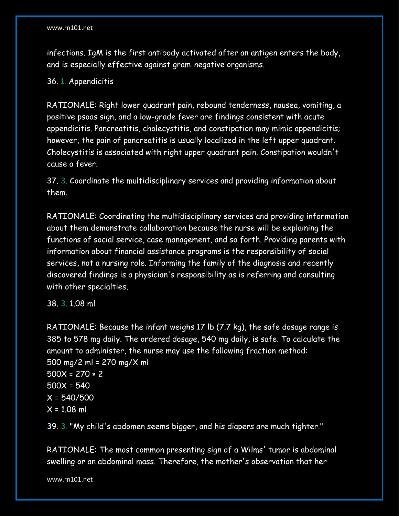infections. IgM is the first antibody activated after an antigen enters the body, and is especially effective against gram-negative organisms.

36. 1. Appendicitis

RATIONALE: Right lower quadrant pain, rebound tenderness, nausea, vomiting, a positive psoas sign, and a low-grade fever are findings consistent with acute appendicitis. Pancreatitis, cholecystitis, and constipation may mimic appendicitis; however, the pain of pancreatitis is usually localized in the left upper quadrant. Cholecystitis is associated with right upper quadrant pain. Constipation wouldn't cause a fever.

37. 3. Coordinate the multidisciplinary services and providing information about them.

RATIONALE: Coordinating the multidisciplinary services and providing information about them demonstrate collaboration because the nurse will be explaining the functions of social service, case management, and so forth. Providing parents with information about financial assistance programs is the responsibility of social services, not a nursing role. Informing the family of the diagnosis and recently discovered findings is a physician's responsibility as is referring and consulting with other specialties.

38. 3. 1.08 ml

RATIONALE: Because the infant weighs 17 lb (7.7 kg), the safe dosage range is 385 to 578 mg daily. The ordered dosage, 540 mg daily, is safe. To calculate the amount to administer, the nurse may use the following fraction method: 500 mg/2 ml = 270 mg/X ml  $500X = 270 \times 2$ 500X = 540 X = 540/500  $X = 1.08$  ml

39. 3. "My child's abdomen seems bigger, and his diapers are much tighter."

RATIONALE: The most common presenting sign of a Wilms' tumor is abdominal swelling or an abdominal mass. Therefore, the mother's observation that her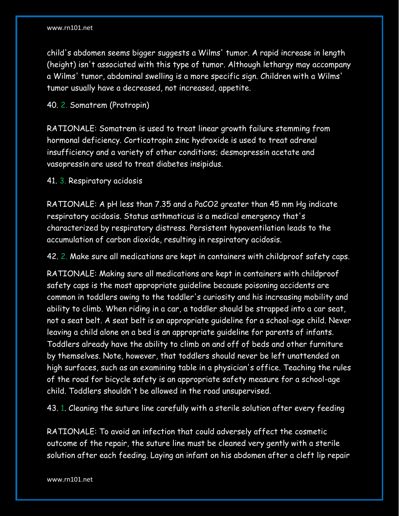child's abdomen seems bigger suggests a Wilms' tumor. A rapid increase in length (height) isn't associated with this type of tumor. Although lethargy may accompany a Wilms' tumor, abdominal swelling is a more specific sign. Children with a Wilms' tumor usually have a decreased, not increased, appetite.

40. 2. Somatrem (Protropin)

RATIONALE: Somatrem is used to treat linear growth failure stemming from hormonal deficiency. Corticotropin zinc hydroxide is used to treat adrenal insufficiency and a variety of other conditions; desmopressin acetate and vasopressin are used to treat diabetes insipidus.

41. 3. Respiratory acidosis

RATIONALE: A pH less than 7.35 and a PaCO2 greater than 45 mm Hg indicate respiratory acidosis. Status asthmaticus is a medical emergency that's characterized by respiratory distress. Persistent hypoventilation leads to the accumulation of carbon dioxide, resulting in respiratory acidosis.

42. 2. Make sure all medications are kept in containers with childproof safety caps.

RATIONALE: Making sure all medications are kept in containers with childproof safety caps is the most appropriate guideline because poisoning accidents are common in toddlers owing to the toddler's curiosity and his increasing mobility and ability to climb. When riding in a car, a toddler should be strapped into a car seat, not a seat belt. A seat belt is an appropriate guideline for a school-age child. Never leaving a child alone on a bed is an appropriate guideline for parents of infants. Toddlers already have the ability to climb on and off of beds and other furniture by themselves. Note, however, that toddlers should never be left unattended on high surfaces, such as an examining table in a physician's office. Teaching the rules of the road for bicycle safety is an appropriate safety measure for a school-age child. Toddlers shouldn't be allowed in the road unsupervised.

43. 1. Cleaning the suture line carefully with a sterile solution after every feeding

RATIONALE: To avoid an infection that could adversely affect the cosmetic outcome of the repair, the suture line must be cleaned very gently with a sterile solution after each feeding. Laying an infant on his abdomen after a cleft lip repair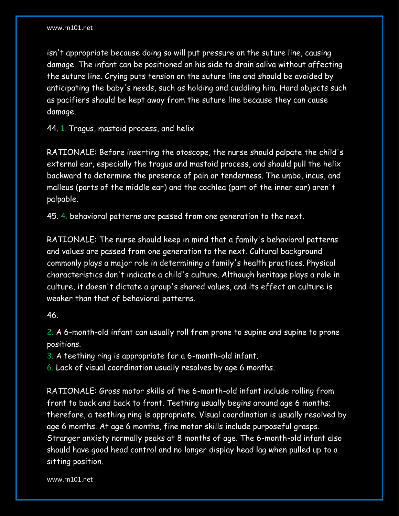isn't appropriate because doing so will put pressure on the suture line, causing damage. The infant can be positioned on his side to drain saliva without affecting the suture line. Crying puts tension on the suture line and should be avoided by anticipating the baby's needs, such as holding and cuddling him. Hard objects such as pacifiers should be kept away from the suture line because they can cause damage.

44. 1. Tragus, mastoid process, and helix

RATIONALE: Before inserting the otoscope, the nurse should palpate the child's external ear, especially the tragus and mastoid process, and should pull the helix backward to determine the presence of pain or tenderness. The umbo, incus, and malleus (parts of the middle ear) and the cochlea (part of the inner ear) aren't palpable.

45. 4. behavioral patterns are passed from one generation to the next.

RATIONALE: The nurse should keep in mind that a family's behavioral patterns and values are passed from one generation to the next. Cultural background commonly plays a major role in determining a family's health practices. Physical characteristics don't indicate a child's culture. Although heritage plays a role in culture, it doesn't dictate a group's shared values, and its effect on culture is weaker than that of behavioral patterns.

46.

2. A 6-month-old infant can usually roll from prone to supine and supine to prone positions.

3. A teething ring is appropriate for a 6-month-old infant.

6. Lack of visual coordination usually resolves by age 6 months.

RATIONALE: Gross motor skills of the 6-month-old infant include rolling from front to back and back to front. Teething usually begins around age 6 months; therefore, a teething ring is appropriate. Visual coordination is usually resolved by age 6 months. At age 6 months, fine motor skills include purposeful grasps. Stranger anxiety normally peaks at 8 months of age. The 6-month-old infant also should have good head control and no longer display head lag when pulled up to a sitting position.